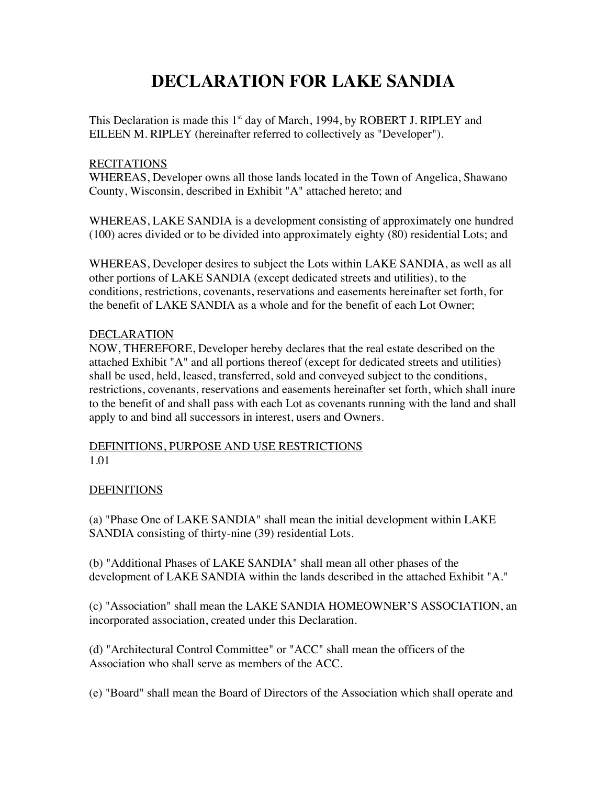# **DECLARATION FOR LAKE SANDIA**

This Declaration is made this 1<sup>st</sup> day of March, 1994, by ROBERT J. RIPLEY and EILEEN M. RIPLEY (hereinafter referred to collectively as "Developer").

# RECITATIONS

WHEREAS, Developer owns all those lands located in the Town of Angelica, Shawano County, Wisconsin, described in Exhibit "A" attached hereto; and

WHEREAS, LAKE SANDIA is a development consisting of approximately one hundred (100) acres divided or to be divided into approximately eighty (80) residential Lots; and

WHEREAS, Developer desires to subject the Lots within LAKE SANDIA, as well as all other portions of LAKE SANDIA (except dedicated streets and utilities), to the conditions, restrictions, covenants, reservations and easements hereinafter set forth, for the benefit of LAKE SANDIA as a whole and for the benefit of each Lot Owner;

# DECLARATION

NOW, THEREFORE, Developer hereby declares that the real estate described on the attached Exhibit "A" and all portions thereof (except for dedicated streets and utilities) shall be used, held, leased, transferred, sold and conveyed subject to the conditions, restrictions, covenants, reservations and easements hereinafter set forth, which shall inure to the benefit of and shall pass with each Lot as covenants running with the land and shall apply to and bind all successors in interest, users and Owners.

# DEFINITIONS, PURPOSE AND USE RESTRICTIONS 1.01

# **DEFINITIONS**

(a) "Phase One of LAKE SANDIA" shall mean the initial development within LAKE SANDIA consisting of thirty-nine (39) residential Lots.

(b) "Additional Phases of LAKE SANDIA" shall mean all other phases of the development of LAKE SANDIA within the lands described in the attached Exhibit "A."

(c) "Association" shall mean the LAKE SANDIA HOMEOWNER'S ASSOCIATION, an incorporated association, created under this Declaration.

(d) "Architectural Control Committee" or "ACC" shall mean the officers of the Association who shall serve as members of the ACC.

(e) "Board" shall mean the Board of Directors of the Association which shall operate and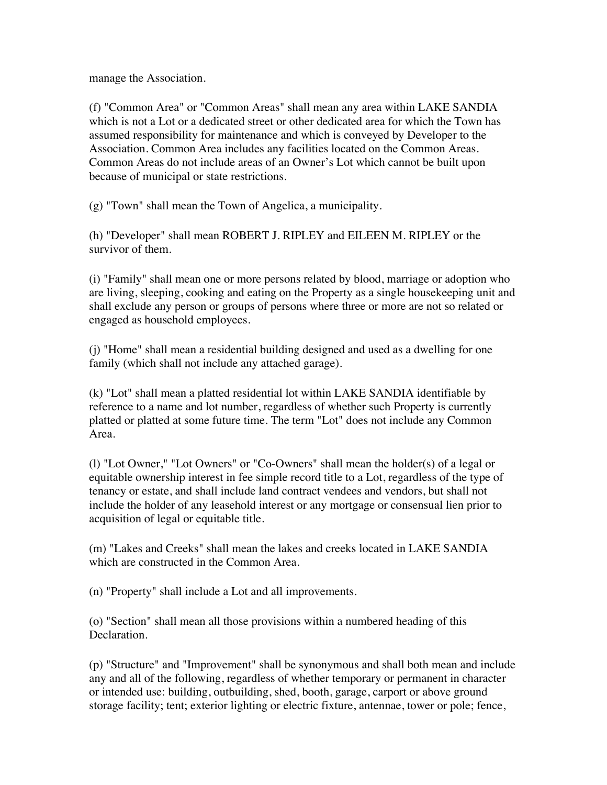manage the Association.

(f) "Common Area" or "Common Areas" shall mean any area within LAKE SANDIA which is not a Lot or a dedicated street or other dedicated area for which the Town has assumed responsibility for maintenance and which is conveyed by Developer to the Association. Common Area includes any facilities located on the Common Areas. Common Areas do not include areas of an Owner's Lot which cannot be built upon because of municipal or state restrictions.

(g) "Town" shall mean the Town of Angelica, a municipality.

(h) "Developer" shall mean ROBERT J. RIPLEY and EILEEN M. RIPLEY or the survivor of them.

(i) "Family" shall mean one or more persons related by blood, marriage or adoption who are living, sleeping, cooking and eating on the Property as a single housekeeping unit and shall exclude any person or groups of persons where three or more are not so related or engaged as household employees.

(j) "Home" shall mean a residential building designed and used as a dwelling for one family (which shall not include any attached garage).

(k) "Lot" shall mean a platted residential lot within LAKE SANDIA identifiable by reference to a name and lot number, regardless of whether such Property is currently platted or platted at some future time. The term "Lot" does not include any Common Area.

(l) "Lot Owner," "Lot Owners" or "Co-Owners" shall mean the holder(s) of a legal or equitable ownership interest in fee simple record title to a Lot, regardless of the type of tenancy or estate, and shall include land contract vendees and vendors, but shall not include the holder of any leasehold interest or any mortgage or consensual lien prior to acquisition of legal or equitable title.

(m) "Lakes and Creeks" shall mean the lakes and creeks located in LAKE SANDIA which are constructed in the Common Area.

(n) "Property" shall include a Lot and all improvements.

(o) "Section" shall mean all those provisions within a numbered heading of this Declaration.

(p) "Structure" and "Improvement" shall be synonymous and shall both mean and include any and all of the following, regardless of whether temporary or permanent in character or intended use: building, outbuilding, shed, booth, garage, carport or above ground storage facility; tent; exterior lighting or electric fixture, antennae, tower or pole; fence,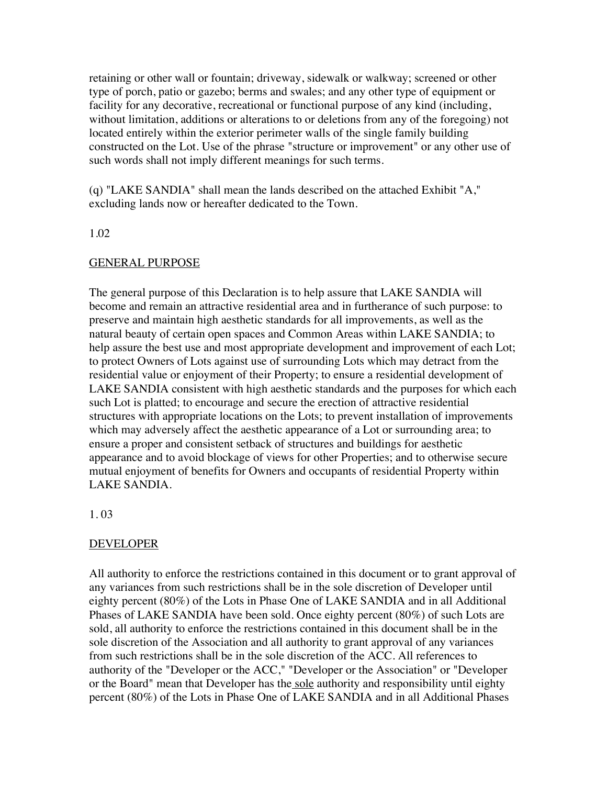retaining or other wall or fountain; driveway, sidewalk or walkway; screened or other type of porch, patio or gazebo; berms and swales; and any other type of equipment or facility for any decorative, recreational or functional purpose of any kind (including, without limitation, additions or alterations to or deletions from any of the foregoing) not located entirely within the exterior perimeter walls of the single family building constructed on the Lot. Use of the phrase "structure or improvement" or any other use of such words shall not imply different meanings for such terms.

(q) "LAKE SANDIA" shall mean the lands described on the attached Exhibit "A," excluding lands now or hereafter dedicated to the Town.

#### 1.02

#### GENERAL PURPOSE

The general purpose of this Declaration is to help assure that LAKE SANDIA will become and remain an attractive residential area and in furtherance of such purpose: to preserve and maintain high aesthetic standards for all improvements, as well as the natural beauty of certain open spaces and Common Areas within LAKE SANDIA; to help assure the best use and most appropriate development and improvement of each Lot; to protect Owners of Lots against use of surrounding Lots which may detract from the residential value or enjoyment of their Property; to ensure a residential development of LAKE SANDIA consistent with high aesthetic standards and the purposes for which each such Lot is platted; to encourage and secure the erection of attractive residential structures with appropriate locations on the Lots; to prevent installation of improvements which may adversely affect the aesthetic appearance of a Lot or surrounding area; to ensure a proper and consistent setback of structures and buildings for aesthetic appearance and to avoid blockage of views for other Properties; and to otherwise secure mutual enjoyment of benefits for Owners and occupants of residential Property within LAKE SANDIA.

#### 1. 03

#### DEVELOPER

All authority to enforce the restrictions contained in this document or to grant approval of any variances from such restrictions shall be in the sole discretion of Developer until eighty percent (80%) of the Lots in Phase One of LAKE SANDIA and in all Additional Phases of LAKE SANDIA have been sold. Once eighty percent (80%) of such Lots are sold, all authority to enforce the restrictions contained in this document shall be in the sole discretion of the Association and all authority to grant approval of any variances from such restrictions shall be in the sole discretion of the ACC. All references to authority of the "Developer or the ACC," "Developer or the Association" or "Developer or the Board" mean that Developer has the sole authority and responsibility until eighty percent (80%) of the Lots in Phase One of LAKE SANDIA and in all Additional Phases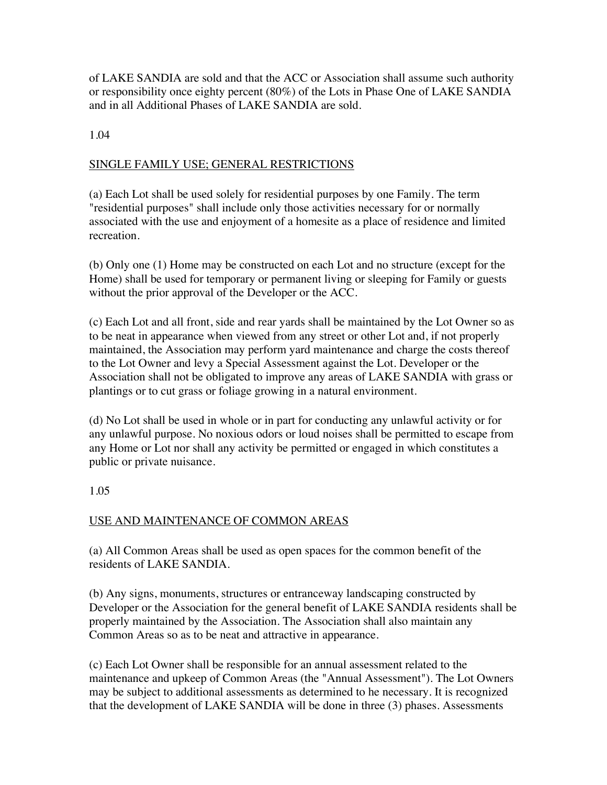of LAKE SANDIA are sold and that the ACC or Association shall assume such authority or responsibility once eighty percent (80%) of the Lots in Phase One of LAKE SANDIA and in all Additional Phases of LAKE SANDIA are sold.

1.04

# SINGLE FAMILY USE; GENERAL RESTRICTIONS

(a) Each Lot shall be used solely for residential purposes by one Family. The term "residential purposes" shall include only those activities necessary for or normally associated with the use and enjoyment of a homesite as a place of residence and limited recreation.

(b) Only one (1) Home may be constructed on each Lot and no structure (except for the Home) shall be used for temporary or permanent living or sleeping for Family or guests without the prior approval of the Developer or the ACC.

(c) Each Lot and all front, side and rear yards shall be maintained by the Lot Owner so as to be neat in appearance when viewed from any street or other Lot and, if not properly maintained, the Association may perform yard maintenance and charge the costs thereof to the Lot Owner and levy a Special Assessment against the Lot. Developer or the Association shall not be obligated to improve any areas of LAKE SANDIA with grass or plantings or to cut grass or foliage growing in a natural environment.

(d) No Lot shall be used in whole or in part for conducting any unlawful activity or for any unlawful purpose. No noxious odors or loud noises shall be permitted to escape from any Home or Lot nor shall any activity be permitted or engaged in which constitutes a public or private nuisance.

1.05

# USE AND MAINTENANCE OF COMMON AREAS

(a) All Common Areas shall be used as open spaces for the common benefit of the residents of LAKE SANDIA.

(b) Any signs, monuments, structures or entranceway landscaping constructed by Developer or the Association for the general benefit of LAKE SANDIA residents shall be properly maintained by the Association. The Association shall also maintain any Common Areas so as to be neat and attractive in appearance.

(c) Each Lot Owner shall be responsible for an annual assessment related to the maintenance and upkeep of Common Areas (the "Annual Assessment"). The Lot Owners may be subject to additional assessments as determined to he necessary. It is recognized that the development of LAKE SANDIA will be done in three (3) phases. Assessments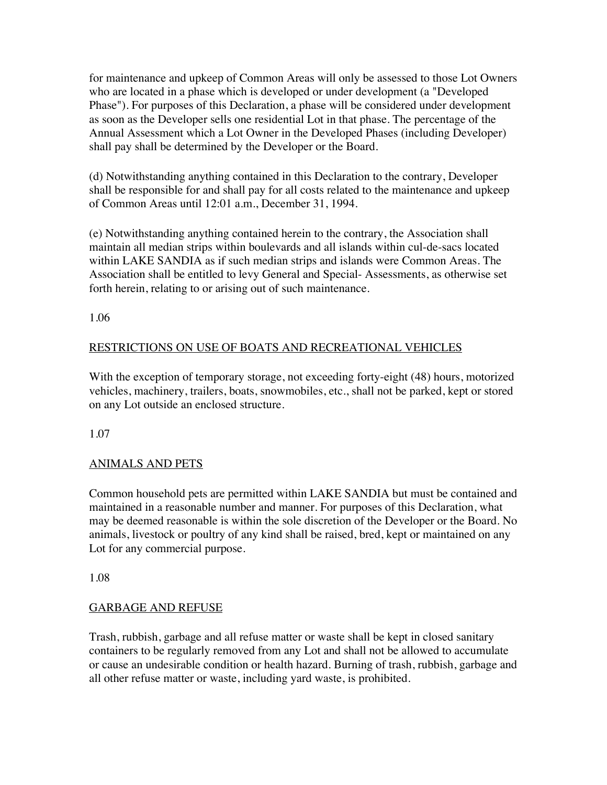for maintenance and upkeep of Common Areas will only be assessed to those Lot Owners who are located in a phase which is developed or under development (a "Developed Phase"). For purposes of this Declaration, a phase will be considered under development as soon as the Developer sells one residential Lot in that phase. The percentage of the Annual Assessment which a Lot Owner in the Developed Phases (including Developer) shall pay shall be determined by the Developer or the Board.

(d) Notwithstanding anything contained in this Declaration to the contrary, Developer shall be responsible for and shall pay for all costs related to the maintenance and upkeep of Common Areas until 12:01 a.m., December 31, 1994.

(e) Notwithstanding anything contained herein to the contrary, the Association shall maintain all median strips within boulevards and all islands within cul-de-sacs located within LAKE SANDIA as if such median strips and islands were Common Areas. The Association shall be entitled to levy General and Special- Assessments, as otherwise set forth herein, relating to or arising out of such maintenance.

1.06

# RESTRICTIONS ON USE OF BOATS AND RECREATIONAL VEHICLES

With the exception of temporary storage, not exceeding forty-eight (48) hours, motorized vehicles, machinery, trailers, boats, snowmobiles, etc., shall not be parked, kept or stored on any Lot outside an enclosed structure.

1.07

# ANIMALS AND PETS

Common household pets are permitted within LAKE SANDIA but must be contained and maintained in a reasonable number and manner. For purposes of this Declaration, what may be deemed reasonable is within the sole discretion of the Developer or the Board. No animals, livestock or poultry of any kind shall be raised, bred, kept or maintained on any Lot for any commercial purpose.

1.08

# GARBAGE AND REFUSE

Trash, rubbish, garbage and all refuse matter or waste shall be kept in closed sanitary containers to be regularly removed from any Lot and shall not be allowed to accumulate or cause an undesirable condition or health hazard. Burning of trash, rubbish, garbage and all other refuse matter or waste, including yard waste, is prohibited.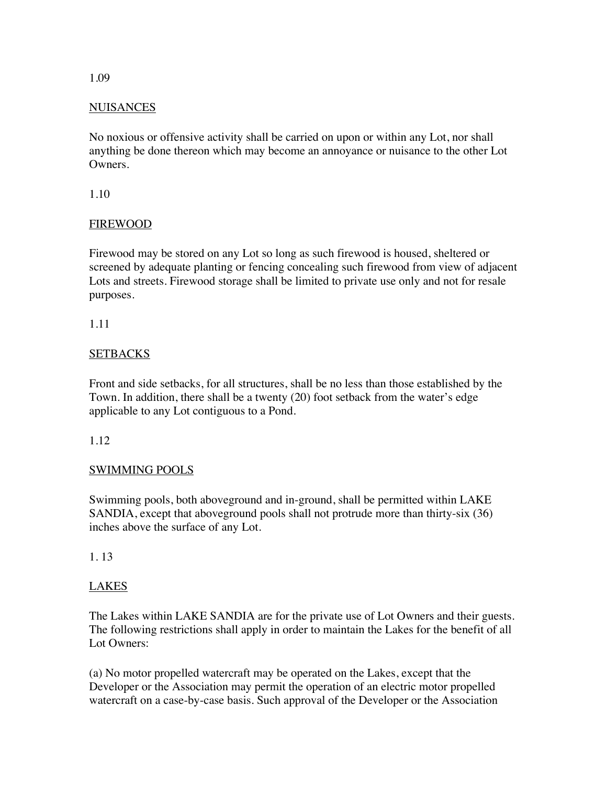# NUISANCES

No noxious or offensive activity shall be carried on upon or within any Lot, nor shall anything be done thereon which may become an annoyance or nuisance to the other Lot Owners.

1.10

# FIREWOOD

Firewood may be stored on any Lot so long as such firewood is housed, sheltered or screened by adequate planting or fencing concealing such firewood from view of adjacent Lots and streets. Firewood storage shall be limited to private use only and not for resale purposes.

1.11

# **SETBACKS**

Front and side setbacks, for all structures, shall be no less than those established by the Town. In addition, there shall be a twenty (20) foot setback from the water's edge applicable to any Lot contiguous to a Pond.

# 1.12

# SWIMMING POOLS

Swimming pools, both aboveground and in-ground, shall be permitted within LAKE SANDIA, except that aboveground pools shall not protrude more than thirty-six (36) inches above the surface of any Lot.

# 1. 13

# LAKES

The Lakes within LAKE SANDIA are for the private use of Lot Owners and their guests. The following restrictions shall apply in order to maintain the Lakes for the benefit of all Lot Owners:

(a) No motor propelled watercraft may be operated on the Lakes, except that the Developer or the Association may permit the operation of an electric motor propelled watercraft on a case-by-case basis. Such approval of the Developer or the Association

#### 1.09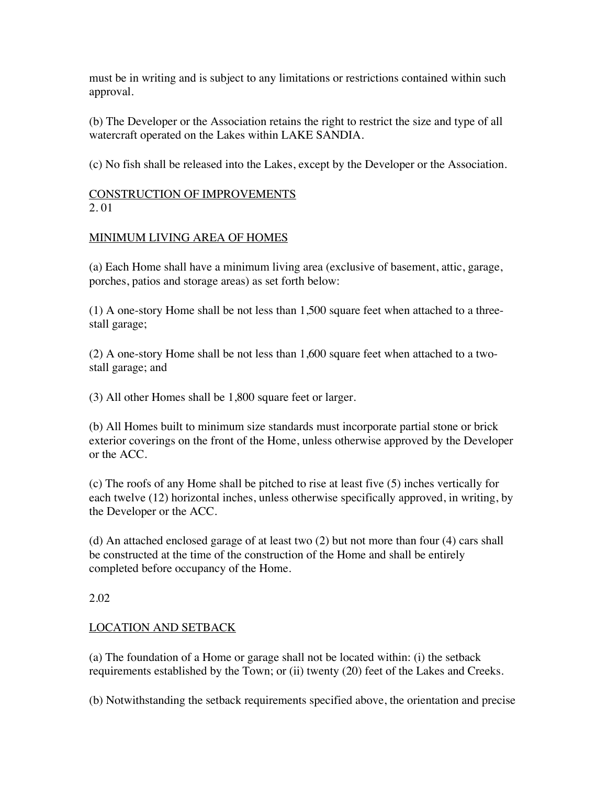must be in writing and is subject to any limitations or restrictions contained within such approval.

(b) The Developer or the Association retains the right to restrict the size and type of all watercraft operated on the Lakes within LAKE SANDIA.

(c) No fish shall be released into the Lakes, except by the Developer or the Association.

#### CONSTRUCTION OF IMPROVEMENTS 2. 01

# MINIMUM LIVING AREA OF HOMES

(a) Each Home shall have a minimum living area (exclusive of basement, attic, garage, porches, patios and storage areas) as set forth below:

(1) A one-story Home shall be not less than 1,500 square feet when attached to a threestall garage;

(2) A one-story Home shall be not less than 1,600 square feet when attached to a twostall garage; and

(3) All other Homes shall be 1,800 square feet or larger.

(b) All Homes built to minimum size standards must incorporate partial stone or brick exterior coverings on the front of the Home, unless otherwise approved by the Developer or the ACC.

(c) The roofs of any Home shall be pitched to rise at least five (5) inches vertically for each twelve (12) horizontal inches, unless otherwise specifically approved, in writing, by the Developer or the ACC.

(d) An attached enclosed garage of at least two (2) but not more than four (4) cars shall be constructed at the time of the construction of the Home and shall be entirely completed before occupancy of the Home.

# 2.02

# LOCATION AND SETBACK

(a) The foundation of a Home or garage shall not be located within: (i) the setback requirements established by the Town; or (ii) twenty (20) feet of the Lakes and Creeks.

(b) Notwithstanding the setback requirements specified above, the orientation and precise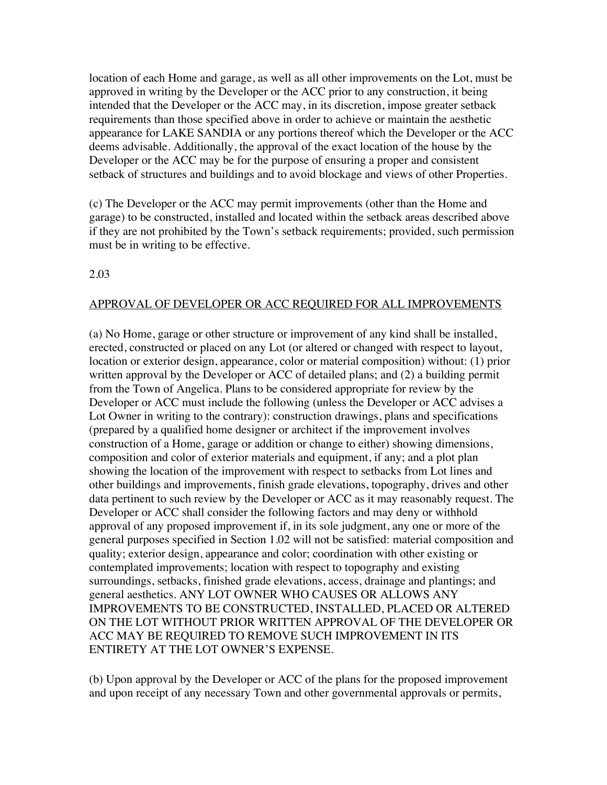location of each Home and garage, as well as all other improvements on the Lot, must be approved in writing by the Developer or the ACC prior to any construction, it being intended that the Developer or the ACC may, in its discretion, impose greater setback requirements than those specified above in order to achieve or maintain the aesthetic appearance for LAKE SANDIA or any portions thereof which the Developer or the ACC deems advisable. Additionally, the approval of the exact location of the house by the Developer or the ACC may be for the purpose of ensuring a proper and consistent setback of structures and buildings and to avoid blockage and views of other Properties.

(c) The Developer or the ACC may permit improvements (other than the Home and garage) to be constructed, installed and located within the setback areas described above if they are not prohibited by the Town's setback requirements; provided, such permission must be in writing to be effective.

#### 2.03

#### APPROVAL OF DEVELOPER OR ACC REQUIRED FOR ALL IMPROVEMENTS

(a) No Home, garage or other structure or improvement of any kind shall be installed, erected, constructed or placed on any Lot (or altered or changed with respect to layout, location or exterior design, appearance, color or material composition) without: (1) prior written approval by the Developer or ACC of detailed plans; and (2) a building permit from the Town of Angelica. Plans to be considered appropriate for review by the Developer or ACC must include the following (unless the Developer or ACC advises a Lot Owner in writing to the contrary): construction drawings, plans and specifications (prepared by a qualified home designer or architect if the improvement involves construction of a Home, garage or addition or change to either) showing dimensions, composition and color of exterior materials and equipment, if any; and a plot plan showing the location of the improvement with respect to setbacks from Lot lines and other buildings and improvements, finish grade elevations, topography, drives and other data pertinent to such review by the Developer or ACC as it may reasonably request. The Developer or ACC shall consider the following factors and may deny or withhold approval of any proposed improvement if, in its sole judgment, any one or more of the general purposes specified in Section 1.02 will not be satisfied: material composition and quality; exterior design, appearance and color; coordination with other existing or contemplated improvements; location with respect to topography and existing surroundings, setbacks, finished grade elevations, access, drainage and plantings; and general aesthetics. ANY LOT OWNER WHO CAUSES OR ALLOWS ANY IMPROVEMENTS TO BE CONSTRUCTED, INSTALLED, PLACED OR ALTERED ON THE LOT WITHOUT PRIOR WRITTEN APPROVAL OF THE DEVELOPER OR ACC MAY BE REQUIRED TO REMOVE SUCH IMPROVEMENT IN ITS ENTIRETY AT THE LOT OWNER'S EXPENSE.

(b) Upon approval by the Developer or ACC of the plans for the proposed improvement and upon receipt of any necessary Town and other governmental approvals or permits,